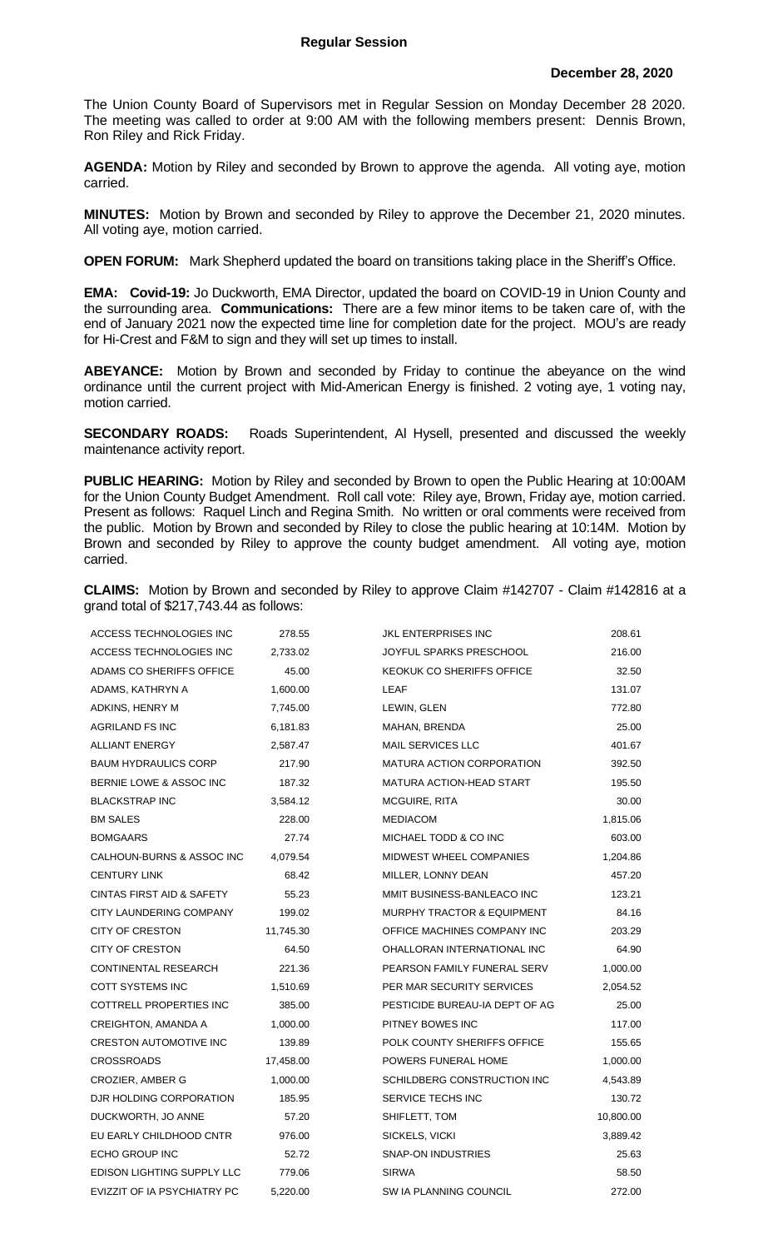The Union County Board of Supervisors met in Regular Session on Monday December 28 2020. The meeting was called to order at 9:00 AM with the following members present: Dennis Brown, Ron Riley and Rick Friday.

**AGENDA:** Motion by Riley and seconded by Brown to approve the agenda. All voting aye, motion carried.

**MINUTES:** Motion by Brown and seconded by Riley to approve the December 21, 2020 minutes. All voting aye, motion carried.

**OPEN FORUM:** Mark Shepherd updated the board on transitions taking place in the Sheriff's Office.

**EMA: Covid-19:** Jo Duckworth, EMA Director, updated the board on COVID-19 in Union County and the surrounding area. **Communications:** There are a few minor items to be taken care of, with the end of January 2021 now the expected time line for completion date for the project.MOU's are ready for Hi-Crest and F&M to sign and they will set up times to install.

**ABEYANCE:** Motion by Brown and seconded by Friday to continue the abeyance on the wind ordinance until the current project with Mid-American Energy is finished. 2 voting aye, 1 voting nay, motion carried.

**SECONDARY ROADS:** Roads Superintendent, Al Hysell, presented and discussed the weekly maintenance activity report.

**PUBLIC HEARING:** Motion by Riley and seconded by Brown to open the Public Hearing at 10:00AM for the Union County Budget Amendment. Roll call vote: Riley aye, Brown, Friday aye, motion carried. Present as follows: Raquel Linch and Regina Smith. No written or oral comments were received from the public. Motion by Brown and seconded by Riley to close the public hearing at 10:14M. Motion by Brown and seconded by Riley to approve the county budget amendment. All voting aye, motion carried.

**CLAIMS:** Motion by Brown and seconded by Riley to approve Claim #142707 - Claim #142816 at a grand total of \$217,743.44 as follows:

| ACCESS TECHNOLOGIES INC              | 278.55    | <b>JKL ENTERPRISES INC</b>            | 208.61    |
|--------------------------------------|-----------|---------------------------------------|-----------|
| ACCESS TECHNOLOGIES INC              | 2,733.02  | JOYFUL SPARKS PRESCHOOL               | 216.00    |
| ADAMS CO SHERIFFS OFFICE             | 45.00     | KEOKUK CO SHERIFFS OFFICE             | 32.50     |
| ADAMS, KATHRYN A                     | 1,600.00  | LEAF                                  | 131.07    |
| ADKINS, HENRY M                      | 7,745.00  | LEWIN, GLEN                           | 772.80    |
| AGRILAND FS INC                      | 6,181.83  | MAHAN, BRENDA                         | 25.00     |
| <b>ALLIANT ENERGY</b>                | 2,587.47  | <b>MAIL SERVICES LLC</b>              | 401.67    |
| <b>BAUM HYDRAULICS CORP</b>          | 217.90    | <b>MATURA ACTION CORPORATION</b>      | 392.50    |
| BERNIE LOWE & ASSOC INC              | 187.32    | <b>MATURA ACTION-HEAD START</b>       | 195.50    |
| <b>BLACKSTRAP INC</b>                | 3,584.12  | <b>MCGUIRE, RITA</b>                  | 30.00     |
| <b>BM SALES</b>                      | 228.00    | <b>MEDIACOM</b>                       | 1,815.06  |
| <b>BOMGAARS</b>                      | 27.74     | MICHAEL TODD & CO INC                 | 603.00    |
| CALHOUN-BURNS & ASSOC INC            | 4,079.54  | MIDWEST WHEEL COMPANIES               | 1,204.86  |
| <b>CENTURY LINK</b>                  | 68.42     | MILLER, LONNY DEAN                    | 457.20    |
| <b>CINTAS FIRST AID &amp; SAFETY</b> | 55.23     | MMIT BUSINESS-BANLEACO INC            | 123.21    |
| CITY LAUNDERING COMPANY              | 199.02    | <b>MURPHY TRACTOR &amp; EQUIPMENT</b> | 84.16     |
| <b>CITY OF CRESTON</b>               | 11,745.30 | OFFICE MACHINES COMPANY INC           | 203.29    |
| <b>CITY OF CRESTON</b>               | 64.50     | OHALLORAN INTERNATIONAL INC           | 64.90     |
| <b>CONTINENTAL RESEARCH</b>          | 221.36    | PEARSON FAMILY FUNERAL SERV           | 1,000.00  |
| COTT SYSTEMS INC                     | 1,510.69  | PER MAR SECURITY SERVICES             | 2,054.52  |
| COTTRELL PROPERTIES INC              | 385.00    | PESTICIDE BUREAU-IA DEPT OF AG        | 25.00     |
| <b>CREIGHTON, AMANDA A</b>           | 1,000.00  | PITNEY BOWES INC                      | 117.00    |
| <b>CRESTON AUTOMOTIVE INC</b>        | 139.89    | POLK COUNTY SHERIFFS OFFICE           | 155.65    |
| <b>CROSSROADS</b>                    | 17,458.00 | POWERS FUNERAL HOME                   | 1,000.00  |
| CROZIER, AMBER G                     | 1,000.00  | SCHILDBERG CONSTRUCTION INC           | 4,543.89  |
| DJR HOLDING CORPORATION              | 185.95    | SERVICE TECHS INC                     | 130.72    |
| DUCKWORTH, JO ANNE                   | 57.20     | SHIFLETT, TOM                         | 10,800.00 |
| EU EARLY CHILDHOOD CNTR              | 976.00    | SICKELS, VICKI                        | 3,889.42  |
| ECHO GROUP INC                       | 52.72     | <b>SNAP-ON INDUSTRIES</b>             | 25.63     |
| EDISON LIGHTING SUPPLY LLC           | 779.06    | <b>SIRWA</b>                          | 58.50     |
| EVIZZIT OF IA PSYCHIATRY PC          | 5,220.00  | SW IA PLANNING COUNCIL                | 272.00    |